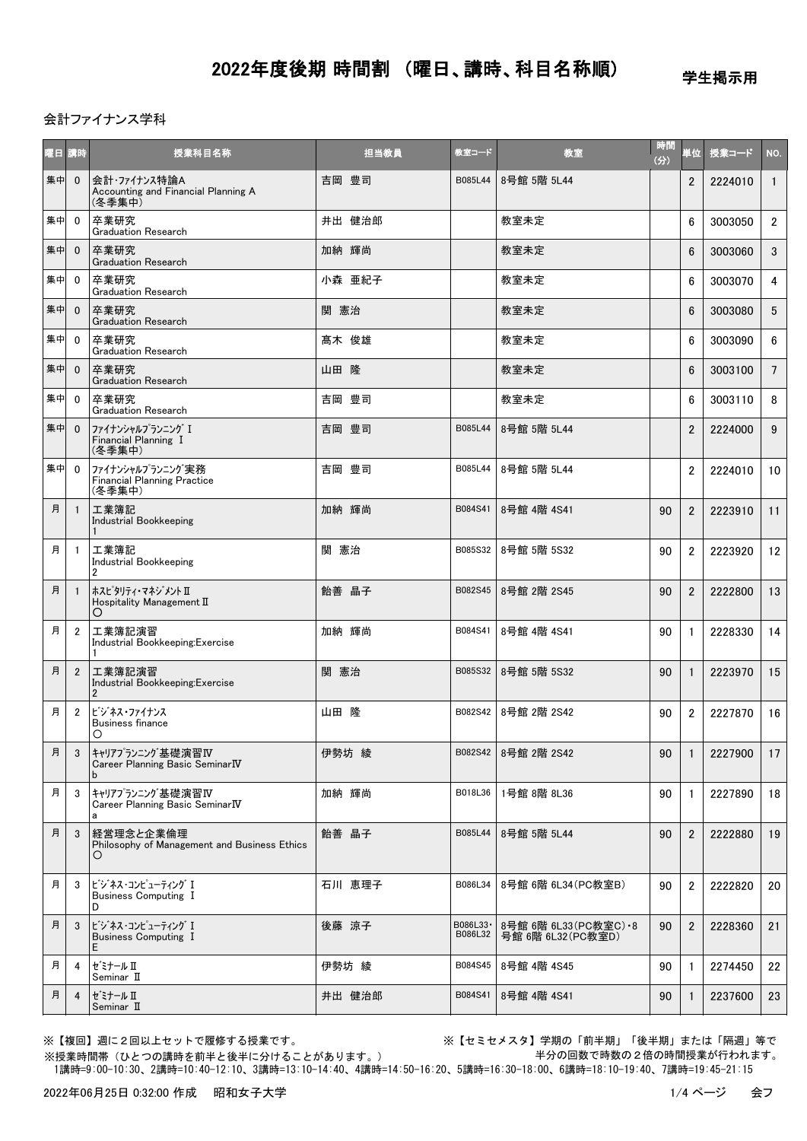学生掲示用

### 会計ファイナンス学科

| 曜日 | 講時             | 授業科目名称                                                           | 担当教員   | 教室コード                | 教室                                            | 時間<br>(分) | 単位             | 授業コード   | NO.            |
|----|----------------|------------------------------------------------------------------|--------|----------------------|-----------------------------------------------|-----------|----------------|---------|----------------|
| 集中 | $\mathbf{0}$   | 会計・ファイナンス特論A<br>Accounting and Financial Planning A<br>(冬季集中)    | 吉岡 豊司  | B085L44              | 8号館 5階 5L44                                   |           | $\overline{2}$ | 2224010 | $\mathbf{1}$   |
| 集中 | $\mathbf{0}$   | 卒業研究<br><b>Graduation Research</b>                               | 井出 健治郎 |                      | 教室未定                                          |           | 6              | 3003050 | $\overline{2}$ |
| 集中 | $\mathbf{0}$   | 卒業研究<br><b>Graduation Research</b>                               | 加納 輝尚  |                      | 教室未定                                          |           | 6              | 3003060 | 3              |
| 集中 | $\mathbf 0$    | 卒業研究<br><b>Graduation Research</b>                               | 小森 亜紀子 |                      | 教室未定                                          |           | 6              | 3003070 | 4              |
| 集中 | $\mathbf{0}$   | 卒業研究<br><b>Graduation Research</b>                               | 関 憲治   |                      | 教室未定                                          |           | 6              | 3003080 | 5              |
| 集中 | $\mathbf{0}$   | 卒業研究<br><b>Graduation Research</b>                               | 髙木 俊雄  |                      | 教室未定                                          |           | 6              | 3003090 | 6              |
| 集中 | $\mathbf{0}$   | 卒業研究<br><b>Graduation Research</b>                               | 山田 隆   |                      | 教室未定                                          |           | 6              | 3003100 | $\overline{7}$ |
| 集中 | $\mathbf 0$    | 卒業研究<br><b>Graduation Research</b>                               | 吉岡 豊司  |                      | 教室未定                                          |           | 6              | 3003110 | 8              |
| 集中 | $\mathbf 0$    | ファイナンシャルプランニング I<br>Financial Planning I<br>(冬季集中)               | 吉岡 豊司  | B085L44              | 8号館 5階 5L44                                   |           | $\overline{2}$ | 2224000 | 9              |
| 集中 | $\mathbf{0}$   | ファイナンシャルプランニング実務<br><b>Financial Planning Practice</b><br>(冬季集中) | 吉岡 豊司  | B085L44              | 8号館 5階 5L44                                   |           | $\overline{2}$ | 2224010 | 10             |
| 月  | $\mathbf{1}$   | 工業簿記<br><b>Industrial Bookkeeping</b><br>1                       | 加納 輝尚  | B084S41              | 8号館 4階 4S41                                   | 90        | $\overline{2}$ | 2223910 | 11             |
| 月  | -1             | 工業簿記<br>Industrial Bookkeeping<br>$\overline{2}$                 | 関 憲治   | B085S32              | 8号館 5階 5S32                                   | 90        | $\overline{2}$ | 2223920 | 12             |
| 月  | $\mathbf{1}$   | ホスピ タリティ・マネジ メント Ⅱ<br>Hospitality Management II<br>O             | 飴善晶子   | B082S45              | 8号館 2階 2S45                                   | 90        | $\overline{2}$ | 2222800 | 13             |
| 月  | $\overline{2}$ | 工業簿記演習<br>Industrial Bookkeeping:Exercise<br>1                   | 加納 輝尚  | B084S41              | 8号館 4階 4S41                                   | 90        | 1              | 2228330 | 14             |
| 月  | $\mathbf{2}$   | 工業簿記演習<br>Industrial Bookkeeping:Exercise<br>$\overline{2}$      | 関 憲治   | B085S32              | 8号館 5階 5S32                                   | 90        | 1              | 2223970 | 15             |
| 月  | $\overline{2}$ | ビジネス・ファイナンス<br><b>Business finance</b><br>O                      | 山田 降   | B082S42              | 8号館 2階 2S42                                   | 90        | $\overline{2}$ | 2227870 | 16             |
| 月  | 3              | キャリアプランニング基礎演習IV<br>Career Planning Basic Seminar IV<br>b        | 伊勢坊 綾  | B082S42              | 8号館 2階 2S42                                   | 90        | 1              | 2227900 | 17             |
| 月  | 3              | キャリアプランニング基礎演習Ⅳ<br>Career Planning Basic SeminarIV<br>a          | 加納 輝尚  | B018L36              | 1号館 8階 8L36                                   | 90        |                | 2227890 | 18             |
| 月  | 3              | 経営理念と企業倫理<br>Philosophy of Management and Business Ethics<br>O   | 飴善 晶子  | B085L44              | 8号館 5階 5L44                                   | 90        | $\overline{2}$ | 2222880 | 19             |
| 月  | 3              | ビジネス・コンピューティング I<br>Business Computing I<br>D                    | 石川 恵理子 | B086L34              | 8号館 6階 6L34 (PC教室B)                           | 90        | $\overline{2}$ | 2222820 | 20             |
| 月  | 3              | ビジネス・コンピューティング I<br><b>Business Computing I</b><br>E             | 後藤 涼子  | B086L33 ·<br>B086L32 | 8号館 6階 6L33 (PC教室C) · 8<br>号館 6階 6L32 (PC教室D) | 90        | $\overline{2}$ | 2228360 | 21             |
| 月  | 4              | ゼミナール Ⅱ<br>Seminar II                                            | 伊勢坊 綾  | B084S45              | 8号館 4階 4S45                                   | 90        | $\mathbf{1}$   | 2274450 | 22             |
| 月  | 4              | ゼミナール Ⅱ<br>Seminar II                                            | 井出 健治郎 | B084S41              | 8号館 4階 4S41                                   | 90        |                | 2237600 | 23             |

※授業時間帯(ひとつの講時を前半と後半に分けることがあります。)

※【複回】週に2回以上セットで履修する授業です。 ※【セミセメスタ】学期の「前半期」「後半期」または「隔週」等で 半分の回数で時数の2倍の時間授業が行われます。

1講時=9:00-10:30、2講時=10:40-12:10、3講時=13:10-14:40、4講時=14:50-16:20、5講時=16:30-18:00、6講時=18:10-19:40、7講時=19:45-21:15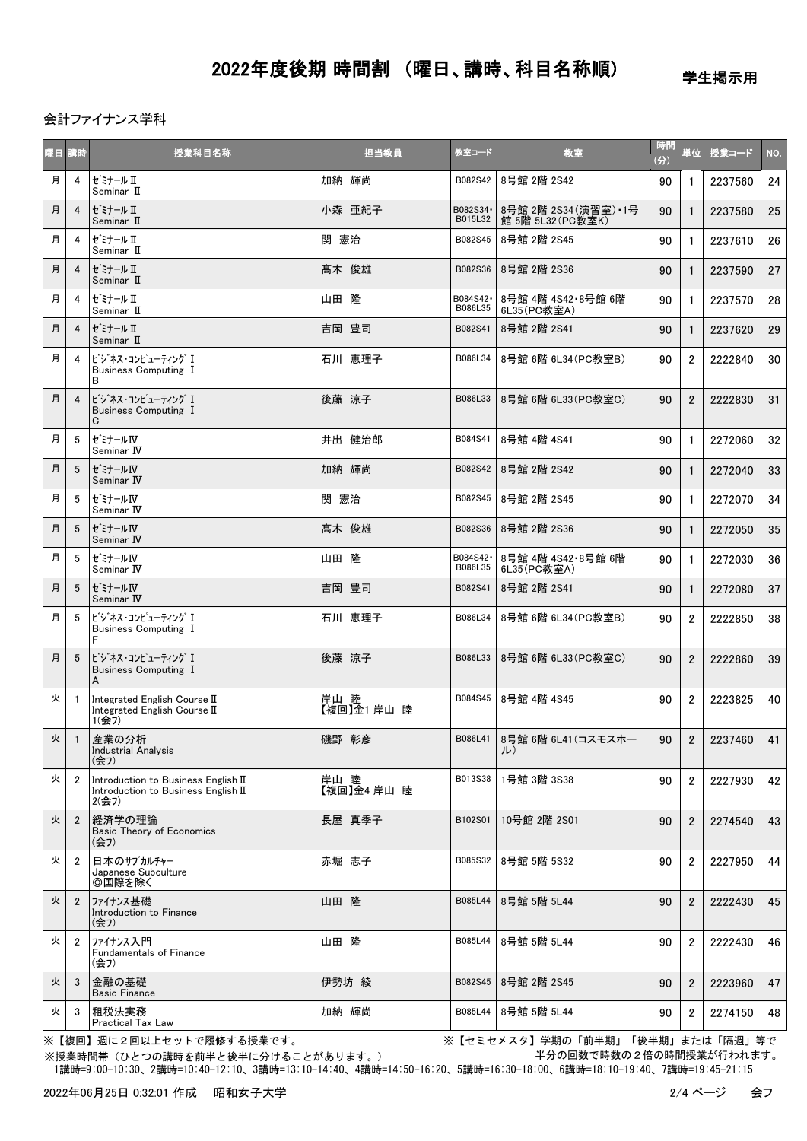学生掲示用

会計ファイナンス学科

| 曜日 講時 |                | 授業科目名称                                                                              | 担当教員                | 教室コード               | 教室                                         | 時間<br>(3) | 単位             | 授業コード   | NO. |
|-------|----------------|-------------------------------------------------------------------------------------|---------------------|---------------------|--------------------------------------------|-----------|----------------|---------|-----|
| 月     | 4              | セ゛ミナール Ⅱ<br>Seminar II                                                              | 加納 輝尚               | B082S42             | 8号館 2階 2S42                                | 90        | $\mathbf{1}$   | 2237560 | 24  |
| 月     | $\overline{4}$ | セ゛ミナール Ⅱ<br>Seminar II                                                              | 小森 亜紀子              | B082S34·<br>B015L32 | 8号館 2階 2S34 (演習室) · 1号<br>館 5階 5L32(PC教室K) | 90        | $\mathbf{1}$   | 2237580 | 25  |
| 月     | 4              | セ゛ミナール Ⅱ<br>Seminar II                                                              | 関 憲治                | B082S45             | 8号館 2階 2S45                                | 90        | $\mathbf{1}$   | 2237610 | 26  |
| 月     | $\overline{4}$ | セ゛ミナール Ⅱ<br>Seminar II                                                              | 髙木 俊雄               | B082S36             | 8号館 2階 2S36                                | 90        | $\mathbf{1}$   | 2237590 | 27  |
| 月     | 4              | セ゛ミナール Ⅱ<br>Seminar II                                                              | 山田 隆                | B084S42·<br>B086L35 | 8号館 4階 4S42·8号館 6階<br>6L35(PC教室A)          | 90        | $\mathbf{1}$   | 2237570 | 28  |
| 月     | $\overline{4}$ | セ゛ミナール Ⅱ<br>Seminar II                                                              | 吉岡 豊司               | B082S41             | 8号館 2階 2S41                                | 90        | $\mathbf{1}$   | 2237620 | 29  |
| 月     | 4              | ビジネス・コンピューティング I<br>Business Computing I<br>В                                       | 石川 恵理子              | B086L34             | 8号館 6階 6L34 (PC教室B)                        | 90        | $\overline{2}$ | 2222840 | 30  |
| 月     | 4              | ビジネス・コンピューティング I<br>Business Computing I<br>С                                       | 後藤 涼子               | B086L33             | 8号館 6階 6L33(PC教室C)                         | 90        | $\overline{2}$ | 2222830 | 31  |
| 月     | 5              | ゼミナールIV<br>Seminar IV                                                               | 井出 健治郎              | B084S41             | 8号館 4階 4S41                                | 90        | $\mathbf{1}$   | 2272060 | 32  |
| 月     | 5              | ゼミナールN<br>Seminar IV                                                                | 加納 輝尚               | B082S42             | 8号館 2階 2S42                                | 90        | $\mathbf{1}$   | 2272040 | 33  |
| 月     | 5              | ゼミナールN<br>Seminar IV                                                                | 関 憲治                | B082S45             | 8号館 2階 2S45                                | 90        | $\mathbf{1}$   | 2272070 | 34  |
| 月     | 5              | セミナールIV<br>Seminar IV                                                               | 髙木 俊雄               | B082S36             | 8号館 2階 2S36                                | 90        | $\mathbf{1}$   | 2272050 | 35  |
| 月     | 5              | セミナールIV<br>Seminar IV                                                               | 山田 隆                | B084S42·<br>B086L35 | 8号館 4階 4S42·8号館 6階<br>6L35(PC教室A)          | 90        | $\mathbf{1}$   | 2272030 | 36  |
| 月     | 5              | ゼミナールN<br>Seminar IV                                                                | 吉岡 豊司               | B082S41             | 8号館 2階 2S41                                | 90        | $\mathbf{1}$   | 2272080 | 37  |
| 月     | 5              | ビジネス・コンピューティング I<br><b>Business Computing I</b><br>F                                | 石川 恵理子              | B086L34             | 8号館 6階 6L34(PC教室B)                         | 90        | 2              | 2222850 | 38  |
| 月     | 5              | ビジネス・コンピューティング I<br><b>Business Computing I</b><br>A                                | 後藤 涼子               | B086L33             | 8号館 6階 6L33 (PC教室C)                        | 90        | $\overline{2}$ | 2222860 | 39  |
| 火     | $\overline{1}$ | Integrated English Course II<br>Integrated English Course II<br>1(会7)               | 岸山 睦<br>【複回】金1 岸山 睦 | B084S45             | 8号館 4階 4S45                                | 90        | $\overline{2}$ | 2223825 | 40  |
| 火     | $\overline{1}$ | 産業の分析<br><b>Industrial Analysis</b><br>(会7)                                         | 磯野 彰彦               | B086L41             | 8号館 6階 6L41(コスモスホー<br>ルノ                   | 90        | $\overline{2}$ | 2237460 | 41  |
| 火     | $\overline{2}$ | Introduction to Business English II<br>Introduction to Business English II<br>2(会7) | 岸山 睦<br>【複回】金4 岸山 睦 | B013S38             | 1号館 3階 3S38                                | 90        | $\overline{2}$ | 2227930 | 42  |
| 火     | $\overline{2}$ | 経済学の理論<br><b>Basic Theory of Economics</b><br>(会7)                                  | 長屋 真季子              | B102S01             | 10号館 2階 2S01                               | 90        | $\overline{2}$ | 2274540 | 43  |
| 火     | $\overline{2}$ | 日本のサブカルチャー<br>Japanese Subculture<br>◎国際を除く                                         | 赤堀 志子               | B085S32             | 8号館 5階 5S32                                | 90        | $\overline{2}$ | 2227950 | 44  |
| 火     | $\overline{2}$ | ファイナンス基礎<br>Introduction to Finance<br>(会7)                                         | 山田 降                | B085L44             | 8号館 5階 5L44                                | 90        | $\overline{2}$ | 2222430 | 45  |
| 火     | $\overline{2}$ | ファイナンス入門<br><b>Fundamentals of Finance</b><br>(会7)                                  | 山田 隆                | B085L44             | 8号館 5階 5L44                                | 90        | $\overline{2}$ | 2222430 | 46  |
| 火     | 3              | 金融の基礎<br><b>Basic Finance</b>                                                       | 伊勢坊 綾               | B082S45             | 8号館 2階 2S45                                | 90        | $\overline{2}$ | 2223960 | 47  |
| 火     | 3              | 租税法実務<br><b>Practical Tax Law</b>                                                   | 加納 輝尚               | B085L44             | 8号館 5階 5L44                                | 90        | $\overline{2}$ | 2274150 | 48  |

※【複回】週に2回以上セットで履修する授業です。 ※【セミセメスタ】学期の「前半期」「後半期」または「隔週」等で 半分の回数で時数の2倍の時間授業が行われます。

 1講時=9:00-10:30、2講時=10:40-12:10、3講時=13:10-14:40、4講時=14:50-16:20、5講時=16:30-18:00、6講時=18:10-19:40、7講時=19:45-21:15 ※授業時間帯(ひとつの講時を前半と後半に分けることがあります。)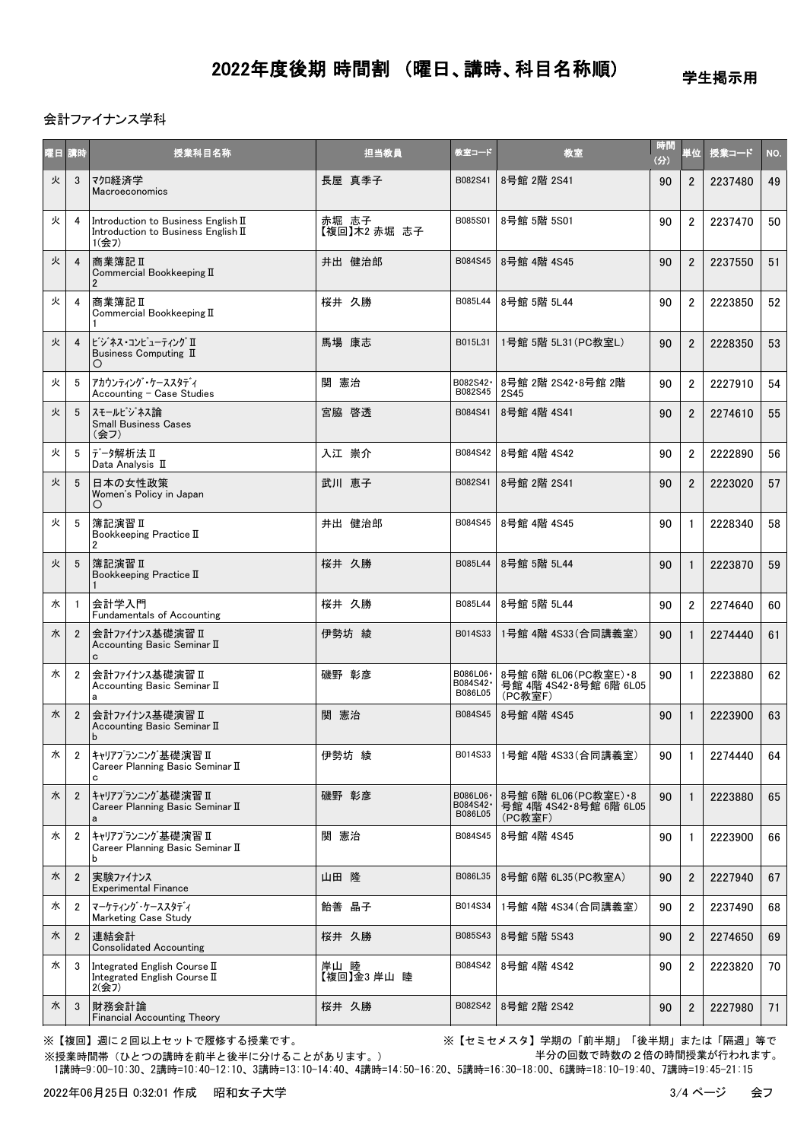学生掲示用

### 会計ファイナンス学科

| 曜日 講時 |                | 授業科目名称                                                                              | 担当教員                  | 教室コード                             | 教室                                                           | 時間<br>(3) | 単位             | 授業コード   | NO. |
|-------|----------------|-------------------------------------------------------------------------------------|-----------------------|-----------------------------------|--------------------------------------------------------------|-----------|----------------|---------|-----|
| 火     | 3              | マクロ経済学<br>Macroeconomics                                                            | 長屋 真季子                | B082S41                           | 8号館 2階 2S41                                                  | 90        | $\overline{2}$ | 2237480 | 49  |
| 火     | 4              | Introduction to Business English II<br>Introduction to Business English II<br>1(会フ) | 赤堀 志子<br>【複回】木2 赤堀 志子 | B085S01                           | 8号館 5階 5S01                                                  | 90        | $\overline{2}$ | 2237470 | 50  |
| 火     | $\overline{4}$ | 商業簿記Ⅱ<br>Commercial Bookkeeping II<br>$\overline{2}$                                | 井出 健治郎                | B084S45                           | 8号館 4階 4S45                                                  | 90        | $\overline{2}$ | 2237550 | 51  |
| 火     | 4              | 商業簿記Ⅱ<br>Commercial Bookkeeping II                                                  | 桜井 久勝                 | B085L44                           | 8号館 5階 5L44                                                  | 90        | $\overline{2}$ | 2223850 | 52  |
| 火     | $\overline{4}$ | ビジネス・コンピューティング Ⅱ<br>Business Computing II<br>O                                      | 馬場 康志                 | B015L31                           | 1号館 5階 5L31 (PC教室L)                                          | 90        | $\overline{2}$ | 2228350 | 53  |
| 火     | 5              | アカウンティング・ケーススタディ<br>Accounting - Case Studies                                       | 関 憲治                  | B082S42·<br>B082S45               | 8号館 2階 2S42・8号館 2階<br><b>2S45</b>                            | 90        | $\overline{2}$ | 2227910 | 54  |
| 火     | 5              | スモールビジネス論<br><b>Small Business Cases</b><br>(会フ)                                    | 宮脇 啓透                 | B084S41                           | 8号館 4階 4S41                                                  | 90        | $\overline{2}$ | 2274610 | 55  |
| 火     | 5              | データ解析法Ⅱ<br>Data Analysis II                                                         | 入江 崇介                 | B084S42                           | 8号館 4階 4S42                                                  | 90        | $\overline{2}$ | 2222890 | 56  |
| 火     | 5              | 日本の女性政策<br>Women's Policy in Japan                                                  | 武川 恵子                 | B082S41                           | 8号館 2階 2S41                                                  | 90        | $\overline{2}$ | 2223020 | 57  |
| 火     | 5              | 簿記演習 II<br>Bookkeeping Practice II<br>$\overline{2}$                                | 井出 健治郎                | B084S45                           | 8号館 4階 4S45                                                  | 90        | $\mathbf{1}$   | 2228340 | 58  |
| 火     | 5              | 簿記演習Ⅱ<br>Bookkeeping Practice II                                                    | 桜井 久勝                 | B085L44                           | 8号館 5階 5L44                                                  | 90        | $\mathbf{1}$   | 2223870 | 59  |
| 水     | $\overline{1}$ | 会計学入門<br><b>Fundamentals of Accounting</b>                                          | 桜井 久勝                 | B085L44                           | 8号館 5階 5L44                                                  | 90        | $\overline{2}$ | 2274640 | 60  |
| 水     | $\overline{2}$ | 会計ファイナンス基礎演習Ⅱ<br>Accounting Basic Seminar II<br>c                                   | 伊勢坊 綾                 | B014S33                           | 1号館 4階 4S33 (合同講義室)                                          | 90        | $\mathbf{1}$   | 2274440 | 61  |
| 水     | $\overline{2}$ | 会計ファイナンス基礎演習 I<br>Accounting Basic Seminar II<br>a                                  | 磯野 彰彦                 | B086L06 ·<br>B084S42 ·<br>B086L05 | 8号館 6階 6L06 (PC教室E) · 8<br>号館 4階 4S42 8号館 6階 6L05<br>(PC教室F) | 90        | $\mathbf{1}$   | 2223880 | 62  |
| 水     | $\overline{2}$ | 会計ファイナンス基礎演習 II<br>Accounting Basic Seminar II<br>b                                 | 関 憲治                  | B084S45                           | 8号館 4階 4S45                                                  | 90        | $\mathbf{1}$   | 2223900 | 63  |
| 水     | 2              | キャリアプランニング基礎演習 Ⅱ<br>Career Planning Basic Seminar II<br>c                           | 伊勢坊 綾                 | B014S33                           | 1号館 4階 4S33(合同講義室)                                           | 90        | $\mathbf{1}$   | 2274440 | 64  |
| 水     | $\overline{2}$ | キャリアプランニング基礎演習 ロ<br>Career Planning Basic Seminar II<br>a                           | 磯野 彰彦                 | B086L06 ·<br>B084S42 ·<br>B086L05 | 8号館 6階 6L06 (PC教室E) · 8<br>号館 4階 4S42·8号館 6階 6L05<br>(PC教室F) | 90        | $\mathbf{1}$   | 2223880 | 65  |
| 水     | $\overline{2}$ | キャリアプランニング基礎演習Ⅱ<br>Career Planning Basic Seminar II<br>b                            | 関 憲治                  | B084S45                           | 8号館 4階 4S45                                                  | 90        | $\mathbf{1}$   | 2223900 | 66  |
| 水     | $\overline{2}$ | 実験ファイナンス<br><b>Experimental Finance</b>                                             | 山田 隆                  | B086L35                           | 8号館 6階 6L35 (PC教室A)                                          | 90        | $\overline{2}$ | 2227940 | 67  |
| 水     | 2              | マーケティング・ケーススタディ<br><b>Marketing Case Study</b>                                      | 飴善晶子                  | B014S34                           | 1号館 4階 4S34(合同講義室)                                           | 90        | $\overline{2}$ | 2237490 | 68  |
| 水     | $\overline{2}$ | 連結会計<br><b>Consolidated Accounting</b>                                              | 桜井 久勝                 | B085S43                           | 8号館 5階 5S43                                                  | 90        | $\overline{2}$ | 2274650 | 69  |
| 水     | -3             | Integrated English Course II<br>Integrated English Course II<br>2(会7)               | 岸山 睦<br>【複回】金3岸山 睦    | B084S42                           | 8号館 4階 4S42                                                  | 90        | $\overline{2}$ | 2223820 | 70  |
| 水     | 3              | 財務会計論<br><b>Financial Accounting Theory</b>                                         | 桜井 久勝                 | B082S42                           | 8号館 2階 2S42                                                  | 90        | $\overline{2}$ | 2227980 | 71  |

※【複回】週に2回以上セットで履修する授業です。 ※【セミセメスタ】学期の「前半期」「後半期」または「隔週」等で 半分の回数で時数の2倍の時間授業が行われます。

 1講時=9:00-10:30、2講時=10:40-12:10、3講時=13:10-14:40、4講時=14:50-16:20、5講時=16:30-18:00、6講時=18:10-19:40、7講時=19:45-21:15 ※授業時間帯(ひとつの講時を前半と後半に分けることがあります。)